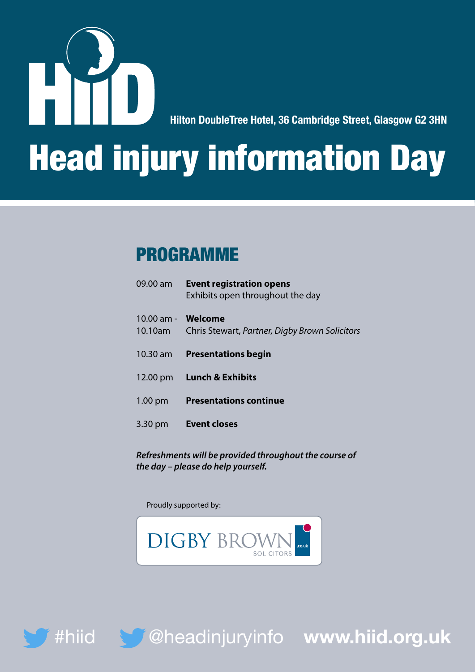

**Hilton DoubleTree Hotel, 36 Cambridge Street, Glasgow G2 3HN**

# Head injury information Day

#### PROGRAMME

|                           | 09.00 am Event registration opens<br>Exhibits open throughout the day |
|---------------------------|-----------------------------------------------------------------------|
| 10.00 am - <b>Welcome</b> |                                                                       |
|                           | 10.10am Chris Stewart, Partner, Digby Brown Solicitors                |
|                           | 10.30 am <b>Presentations begin</b>                                   |
|                           | 12.00 pm Lunch & Exhibits                                             |
|                           | 1.00 pm Presentations continue                                        |
|                           | 3.30 pm Event closes                                                  |
|                           |                                                                       |

*Refreshments will be provided throughout the course of the day – please do help yourself.*

Proudly supported by:





#hiid @headinjuryinfo **www.hiid.org.uk**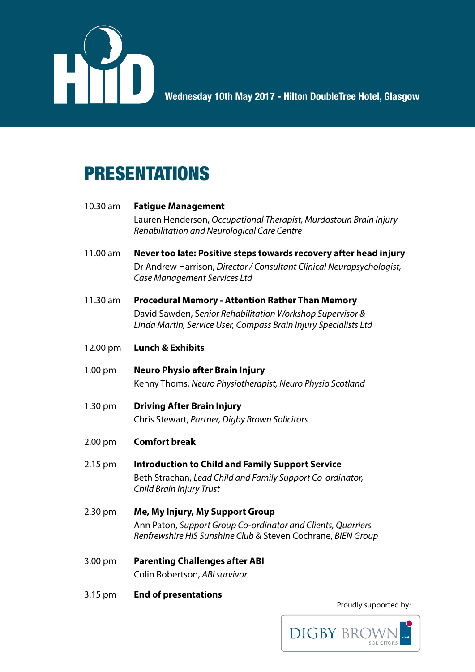

**Wednesday 11th May 2016 - Grand Central Hotel, Glasgow Wednesday 10th May 2017 - Hilton DoubleTree Hotel, Glasgow**

### PRESENTATIONS

#### 10.30 am **Fatigue Management** Lauren Henderson, *Occupational Therapist, Murdostoun Brain Injury Rehabilitation and Neurological Care Centre* 11.00 am **Never too late: Positive steps towards recovery after head injury**  Dr Andrew Harrison, *Director / Consultant Clinical Neuropsychologist, Case Management Services Ltd* 11.30 am **Procedural Memory - Attention Rather Than Memory** David Sawden, S*enior Rehabilitation Workshop Supervisor & Linda Martin, Service User, Compass Brain Injury Specialists Ltd* 12.00 pm **Lunch & Exhibits** 1.00 pm **Neuro Physio after Brain Injury**  Kenny Thoms, *Neuro Physiotherapist, Neuro Physio Scotland* 1.30 pm **Driving After Brain Injury** Chris Stewart, *Partner, Digby Brown Solicitors* 2.00 pm **Comfort break** 2.15 pm **Introduction to Child and Family Support Service** Beth Strachan, *Lead Child and Family Support Co-ordinator, Child Brain Injury Trust* 2.30 pm **Me, My Injury, My Support Group** Ann Paton, *Support Group Co-ordinator and Clients, Quarriers Renfrewshire HIS Sunshine Club* & Steven Cochrane, *BIEN Group* 3.00 pm **Parenting Challenges after ABI**  Colin Robertson, *ABI survivor*

3.15 pm **End of presentations** 

Proudly supported by:

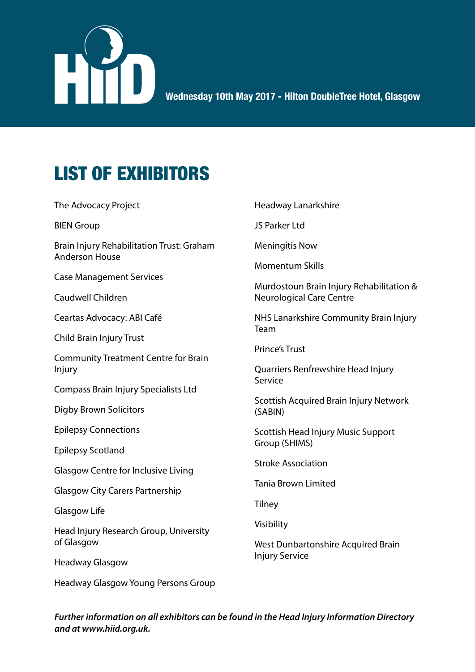

## LIST OF EXHIBITORS

The Advocacy Project

BIEN Group

Brain Injury Rehabilitation Trust: Graham Anderson House

Case Management Services

Caudwell Children

Ceartas Advocacy: ABI Café

Child Brain Injury Trust

Community Treatment Centre for Brain Injury

Compass Brain Injury Specialists Ltd

Digby Brown Solicitors

Epilepsy Connections

Epilepsy Scotland

Glasgow Centre for Inclusive Living

Glasgow City Carers Partnership

Glasgow Life

Head Injury Research Group, University of Glasgow

Headway Glasgow

Headway Glasgow Young Persons Group

Headway Lanarkshire

JS Parker Ltd

Meningitis Now

Momentum Skills

Murdostoun Brain Injury Rehabilitation & Neurological Care Centre

NHS Lanarkshire Community Brain Injury Team

Prince's Trust

Quarriers Renfrewshire Head Injury Service

Scottish Acquired Brain Injury Network (SABIN)

Scottish Head Injury Music Support Group (SHIMS)

Stroke Association

Tania Brown Limited

**Tilney** 

Visibility

West Dunbartonshire Acquired Brain Injury Service

*Further information on all exhibitors can be found in the Head Injury Information Directory and at www.hiid.org.uk.*